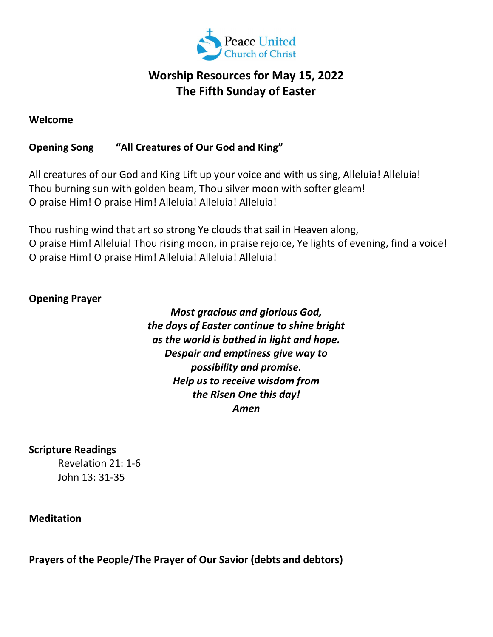

# Worship Resources for May 15, 2022 The Fifth Sunday of Easter

### Welcome

## Opening Song "All Creatures of Our God and King"

All creatures of our God and King Lift up your voice and with us sing, Alleluia! Alleluia! Thou burning sun with golden beam, Thou silver moon with softer gleam! O praise Him! O praise Him! Alleluia! Alleluia! Alleluia!

Thou rushing wind that art so strong Ye clouds that sail in Heaven along, O praise Him! Alleluia! Thou rising moon, in praise rejoice, Ye lights of evening, find a voice! O praise Him! O praise Him! Alleluia! Alleluia! Alleluia!

#### Opening Prayer

Most gracious and glorious God, the days of Easter continue to shine bright as the world is bathed in light and hope. Despair and emptiness give way to possibility and promise. Help us to receive wisdom from the Risen One this day! Amen

Scripture Readings

Revelation 21: 1-6 John 13: 31-35

Meditation

Prayers of the People/The Prayer of Our Savior (debts and debtors)